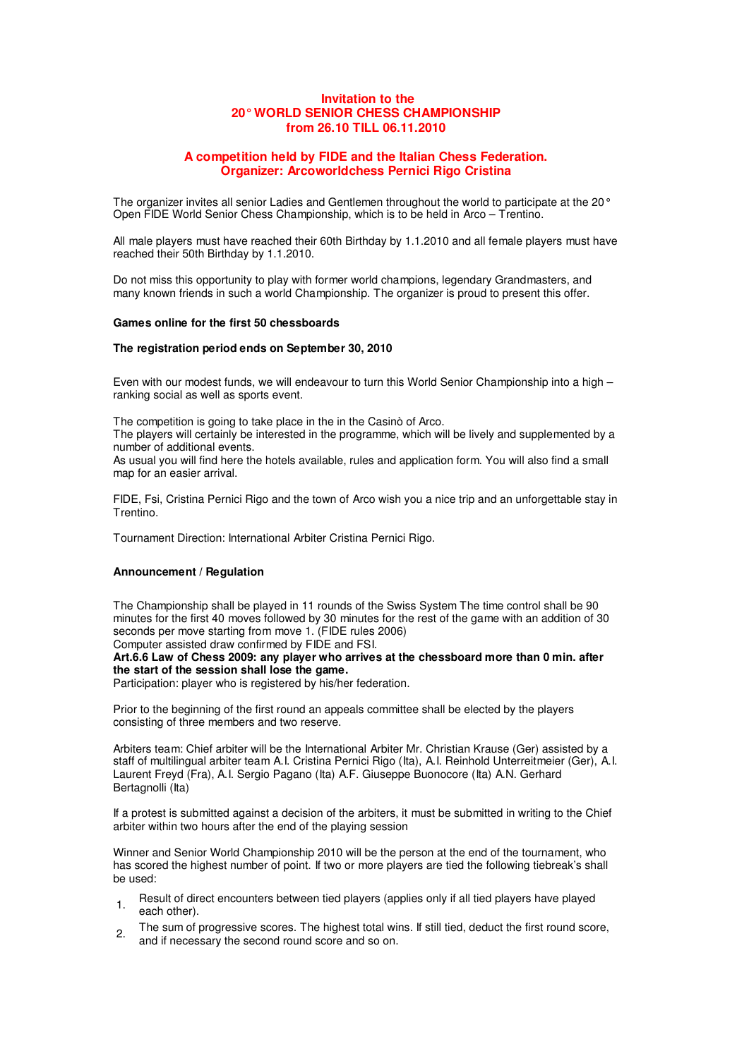## **Invitation to the 20° WORLD SENIOR CHESS CHAMPIONSHIP from 26.10 TILL 06.11.2010**

## **A competition held by FIDE and the Italian Chess Federation. Organizer: Arcoworldchess Pernici Rigo Cristina**

The organizer invites all senior Ladies and Gentlemen throughout the world to participate at the 20° Open FIDE World Senior Chess Championship, which is to be held in Arco – Trentino.

All male players must have reached their 60th Birthday by 1.1.2010 and all female players must have reached their 50th Birthday by 1.1.2010.

Do not miss this opportunity to play with former world champions, legendary Grandmasters, and many known friends in such a world Championship. The organizer is proud to present this offer.

### **Games online for the first 50 chessboards**

### **The registration period ends on September 30, 2010**

Even with our modest funds, we will endeavour to turn this World Senior Championship into a high – ranking social as well as sports event.

The competition is going to take place in the in the Casinò of Arco.

The players will certainly be interested in the programme, which will be lively and supplemented by a number of additional events.

As usual you will find here the hotels available, rules and application form. You will also find a small map for an easier arrival.

FIDE, Fsi, Cristina Pernici Rigo and the town of Arco wish you a nice trip and an unforgettable stay in Trentino.

Tournament Direction: International Arbiter Cristina Pernici Rigo.

# **Announcement / Regulation**

The Championship shall be played in 11 rounds of the Swiss System The time control shall be 90 minutes for the first 40 moves followed by 30 minutes for the rest of the game with an addition of 30 seconds per move starting from move 1. (FIDE rules 2006)

Computer assisted draw confirmed by FIDE and FSI. **Art.6.6 Law of Chess 2009: any player who arrives at the chessboard more than 0 min. after** 

#### **the start of the session shall lose the game.**

Participation: player who is registered by his/her federation.

Prior to the beginning of the first round an appeals committee shall be elected by the players consisting of three members and two reserve.

Arbiters team: Chief arbiter will be the International Arbiter Mr. Christian Krause (Ger) assisted by a staff of multilingual arbiter team A.I. Cristina Pernici Rigo (Ita), A.I. Reinhold Unterreitmeier (Ger), A.I. Laurent Freyd (Fra), A.I. Sergio Pagano (Ita) A.F. Giuseppe Buonocore (Ita) A.N. Gerhard Bertagnolli (Ita)

If a protest is submitted against a decision of the arbiters, it must be submitted in writing to the Chief arbiter within two hours after the end of the playing session

Winner and Senior World Championship 2010 will be the person at the end of the tournament, who has scored the highest number of point. If two or more players are tied the following tiebreak's shall be used:

- <sub>1</sub> Result of direct encounters between tied players (applies only if all tied players have played each other).
- 2. The sum of progressive scores. The highest total wins. If still tied, deduct the first round score, and if necessary the second round score and so on.